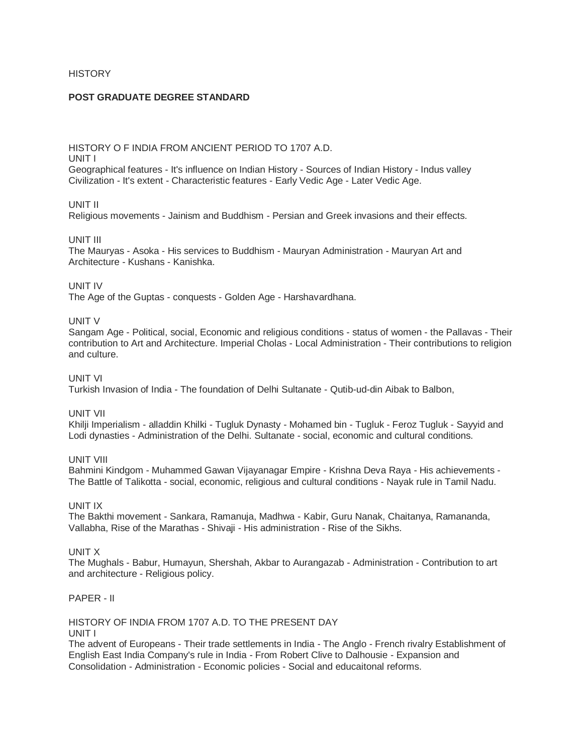# **HISTORY**

### **POST GRADUATE DEGREE STANDARD**

HISTORY O F INDIA FROM ANCIENT PERIOD TO 1707 A.D. UNIT I Geographical features - It's influence on Indian History - Sources of Indian History - Indus valley Civilization - It's extent - Characteristic features - Early Vedic Age - Later Vedic Age.

#### UNIT II

Religious movements - Jainism and Buddhism - Persian and Greek invasions and their effects.

#### UNIT III

The Mauryas - Asoka - His services to Buddhism - Mauryan Administration - Mauryan Art and Architecture - Kushans - Kanishka.

#### UNIT IV

The Age of the Guptas - conquests - Golden Age - Harshavardhana.

#### UNIT V

Sangam Age - Political, social, Economic and religious conditions - status of women - the Pallavas - Their contribution to Art and Architecture. Imperial Cholas - Local Administration - Their contributions to religion and culture.

## UNIT VI

Turkish Invasion of India - The foundation of Delhi Sultanate - Qutib-ud-din Aibak to Balbon,

### UNIT VII

Khilji Imperialism - alladdin Khilki - Tugluk Dynasty - Mohamed bin - Tugluk - Feroz Tugluk - Sayyid and Lodi dynasties - Administration of the Delhi. Sultanate - social, economic and cultural conditions.

UNIT VIII

Bahmini Kindgom - Muhammed Gawan Vijayanagar Empire - Krishna Deva Raya - His achievements - The Battle of Talikotta - social, economic, religious and cultural conditions - Nayak rule in Tamil Nadu.

### UNIT IX

The Bakthi movement - Sankara, Ramanuja, Madhwa - Kabir, Guru Nanak, Chaitanya, Ramananda, Vallabha, Rise of the Marathas - Shivaji - His administration - Rise of the Sikhs.

### UNIT X

The Mughals - Babur, Humayun, Shershah, Akbar to Aurangazab - Administration - Contribution to art and architecture - Religious policy.

### PAPER - II

HISTORY OF INDIA FROM 1707 A.D. TO THE PRESENT DAY UNIT I

The advent of Europeans - Their trade settlements in India - The Anglo - French rivalry Establishment of English East India Company's rule in India - From Robert Clive to Dalhousie - Expansion and Consolidation - Administration - Economic policies - Social and educaitonal reforms.